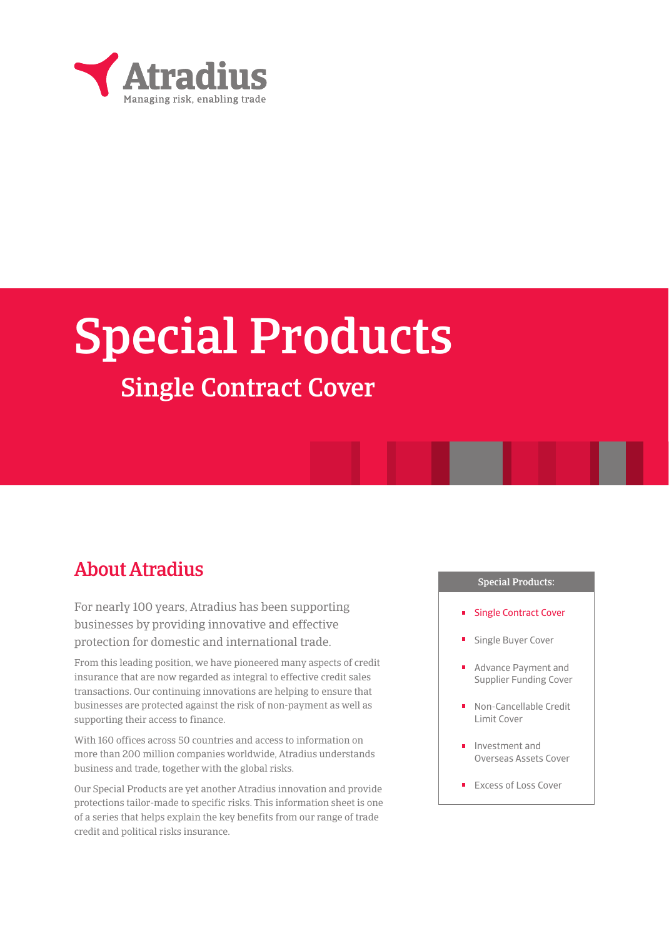

# Special Products

## Single Contract Cover

## About Atradius

For nearly 100 years, Atradius has been supporting businesses by providing innovative and effective protection for domestic and international trade.

From this leading position, we have pioneered many aspects of credit insurance that are now regarded as integral to effective credit sales transactions. Our continuing innovations are helping to ensure that businesses are protected against the risk of non-payment as well as supporting their access to finance.

With 160 offices across 50 countries and access to information on more than 200 million companies worldwide, Atradius understands business and trade, together with the global risks.

Our Special Products are yet another Atradius innovation and provide protections tailor-made to specific risks. This information sheet is one of a series that helps explain the key benefits from our range of trade credit and political risks insurance.

#### Special Products:

- **Single Contract Cover**
- Single Buyer Cover
- Advance Payment and Supplier Funding Cover
- Non-Cancellable Credit Limit Cover
- Investment and Overseas Assets Cover
- Excess of Loss Cover